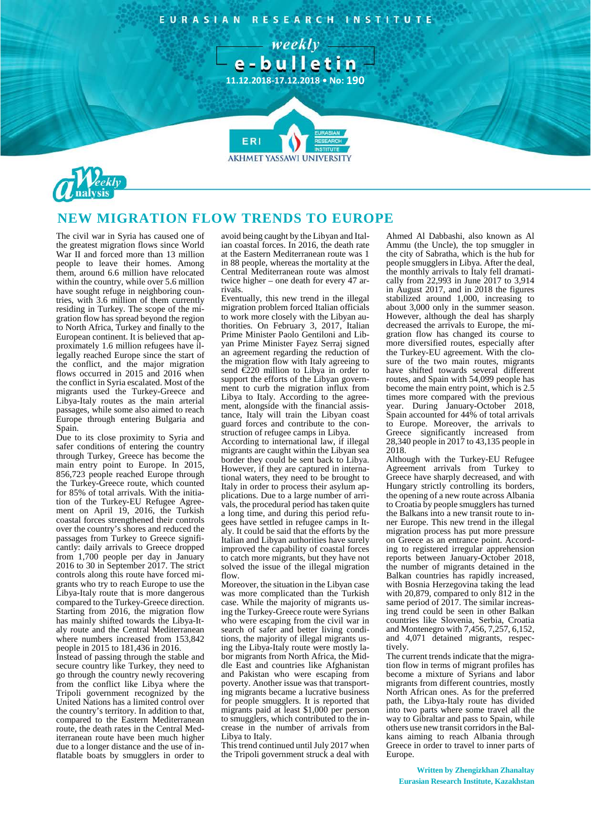RESEARCH INSTITUTE EURASIAN

> - weekly e-bulletin

**11.12.2018-17.12.2018 • No: 190**

**AKHMET YASSAWI UNIVERSIT** 



## **NEW MIGRATION FLOW TRENDS TO EUROPE**

FRI

The civil war in Syria has caused one of the greatest migration flows since World War II and forced more than 13 million people to leave their homes. Among them, around 6.6 million have relocated within the country, while over 5.6 million have sought refuge in neighboring countries, with 3.6 million of them currently residing in Turkey. The scope of the migration flow has spread beyond the region to North Africa, Turkey and finally to the European continent. It is believed that approximately 1.6 million refugees have illegally reached Europe since the start of the conflict, and the major migration flows occurred in 2015 and 2016 when the conflict in Syria escalated. Most of the migrants used the Turkey-Greece and Libya-Italy routes as the main arterial passages, while some also aimed to reach Europe through entering Bulgaria and Spain.

Due to its close proximity to Syria and safer conditions of entering the country through Turkey, Greece has become the main entry point to Europe. In 2015, 856,723 people reached Europe through the Turkey-Greece route, which counted for 85% of total arrivals. With the initiation of the Turkey-EU Refugee Agreement on April 19, 2016, the Turkish coastal forces strengthened their controls over the country's shores and reduced the passages from Turkey to Greece significantly: daily arrivals to Greece dropped from 1,700 people per day in January 2016 to 30 in September 2017. The strict controls along this route have forced migrants who try to reach Europe to use the Libya-Italy route that is more dangerous compared to the Turkey-Greece direction. Starting from 2016, the migration flow has mainly shifted towards the Libya-Italy route and the Central Mediterranean where numbers increased from 153,842 people in 2015 to 181,436 in 2016.

Instead of passing through the stable and secure country like Turkey, they need to go through the country newly recovering from the conflict like Libya where the Tripoli government recognized by the United Nations has a limited control over the country's territory. In addition to that, compared to the Eastern Mediterranean route, the death rates in the Central Mediterranean route have been much higher due to a longer distance and the use of inflatable boats by smugglers in order to

avoid being caught by the Libyan and Italian coastal forces. In 2016, the death rate at the Eastern Mediterranean route was 1 in 88 people, whereas the mortality at the Central Mediterranean route was almost twice higher – one death for every 47 arrivals.

Eventually, this new trend in the illegal migration problem forced Italian officials to work more closely with the Libyan authorities. On February 3, 2017, Italian Prime Minister Paolo Gentiloni and Libyan Prime Minister Fayez Serraj signed an agreement regarding the reduction of the migration flow with Italy agreeing to send €220 million to Libya in order to support the efforts of the Libyan government to curb the migration influx from Libya to Italy. According to the agreement, alongside with the financial assistance, Italy will train the Libyan coast guard forces and contribute to the construction of refugee camps in Libya.

According to international law, if illegal migrants are caught within the Libyan sea border they could be sent back to Libya. However, if they are captured in international waters, they need to be brought to Italy in order to process their asylum applications. Due to a large number of arrivals, the procedural period has taken quite a long time, and during this period refugees have settled in refugee camps in Italy. It could be said that the efforts by the Italian and Libyan authorities have surely improved the capability of coastal forces to catch more migrants, but they have not solved the issue of the illegal migration flow.

Moreover, the situation in the Libyan case was more complicated than the Turkish case. While the majority of migrants using the Turkey-Greece route were Syrians who were escaping from the civil war in search of safer and better living conditions, the majority of illegal migrants using the Libya-Italy route were mostly labor migrants from North Africa, the Middle East and countries like Afghanistan and Pakistan who were escaping from poverty. Another issue was that transporting migrants became a lucrative business for people smugglers. It is reported that migrants paid at least \$1,000 per person to smugglers, which contributed to the increase in the number of arrivals from Libya to Italy.

This trend continued until July 2017 when the Tripoli government struck a deal with Ahmed Al Dabbashi, also known as Al Ammu (the Uncle), the top smuggler in the city of Sabratha, which is the hub for people smugglers in Libya. After the deal, the monthly arrivals to Italy fell dramatically from 22,993 in June 2017 to 3,914 in August 2017, and in 2018 the figures stabilized around 1,000, increasing to about 3,000 only in the summer season. However, although the deal has sharply decreased the arrivals to Europe, the migration flow has changed its course to more diversified routes, especially after the Turkey-EU agreement. With the closure of the two main routes, migrants have shifted towards several different routes, and Spain with 54,099 people has become the main entry point, which is 2.5 times more compared with the previous year. During January-October 2018, Spain accounted for 44% of total arrivals to Europe. Moreover, the arrivals to Greece significantly increased from 28,340 people in 2017 to 43,135 people in 2018.

Although with the Turkey-EU Refugee Agreement arrivals from Turkey to Greece have sharply decreased, and with Hungary strictly controlling its borders, the opening of a new route across Albania to Croatia by people smugglers has turned the Balkans into a new transit route to inner Europe. This new trend in the illegal migration process has put more pressure on Greece as an entrance point. According to registered irregular apprehension reports between January-October 2018, the number of migrants detained in the Balkan countries has rapidly increased, with Bosnia Herzegovina taking the lead with 20,879, compared to only 812 in the same period of 2017. The similar increasing trend could be seen in other Balkan countries like Slovenia, Serbia, Croatia and Montenegro with 7,456, 7,257, 6,152, and 4,071 detained migrants, respectively.

The current trends indicate that the migration flow in terms of migrant profiles has become a mixture of Syrians and labor migrants from different countries, mostly North African ones. As for the preferred path, the Libya-Italy route has divided into two parts where some travel all the way to Gibraltar and pass to Spain, while others use new transit corridors in the Balkans aiming to reach Albania through Greece in order to travel to inner parts of Europe.

**Written by Zhengizkhan Zhanaltay Eurasian Research Institute, Kazakhstan**